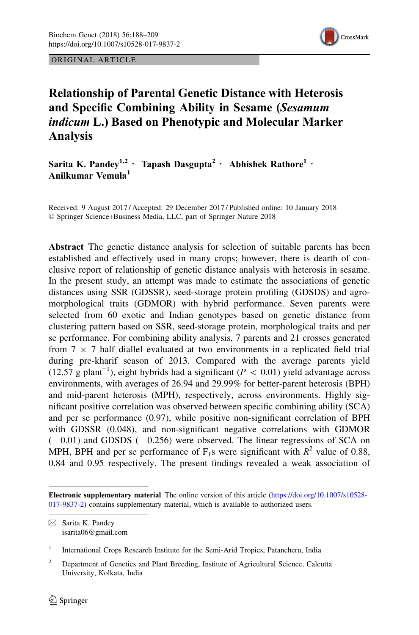

ORIGINAL ARTICLE

# Relationship of Parental Genetic Distance with Heterosis and Specific Combining Ability in Sesame (Sesamum indicum L.) Based on Phenotypic and Molecular Marker Analysis

Sarita K. Pandev<sup>1,2</sup> · Tapash Dasgupta<sup>2</sup> · Abhishek Rathore<sup>1</sup> · Anilkumar Vemula<sup>1</sup>

Received: 9 August 2017 / Accepted: 29 December 2017 / Published online: 10 January 2018 © Springer Science+Business Media, LLC, part of Springer Nature 2018

Abstract The genetic distance analysis for selection of suitable parents has been established and effectively used in many crops; however, there is dearth of conclusive report of relationship of genetic distance analysis with heterosis in sesame. In the present study, an attempt was made to estimate the associations of genetic distances using SSR (GDSSR), seed-storage protein profiling (GDSDS) and agromorphological traits (GDMOR) with hybrid performance. Seven parents were selected from 60 exotic and Indian genotypes based on genetic distance from clustering pattern based on SSR, seed-storage protein, morphological traits and per se performance. For combining ability analysis, 7 parents and 21 crosses generated from  $7 \times 7$  half diallel evaluated at two environments in a replicated field trial during pre-kharif season of 2013. Compared with the average parents yield (12.57 g plant<sup>-1</sup>), eight hybrids had a significant ( $P < 0.01$ ) yield advantage across environments, with averages of 26.94 and 29.99% for better-parent heterosis (BPH) and mid-parent heterosis (MPH), respectively, across environments. Highly significant positive correlation was observed between specific combining ability (SCA) and per se performance (0.97), while positive non-significant correlation of BPH with GDSSR (0.048), and non-significant negative correlations with GDMOR (− 0.01) and GDSDS (− 0.256) were observed. The linear regressions of SCA on MPH, BPH and per se performance of  $F_1$ s were significant with  $R^2$  value of 0.88, 0.84 and 0.95 respectively. The present findings revealed a weak association of

Electronic supplementary material The online version of this article ([https://doi.org/10.1007/s10528-](https://doi.org/10.1007/s10528-017-9837-2) [017-9837-2](https://doi.org/10.1007/s10528-017-9837-2)) contains supplementary material, which is available to authorized users.

 $\boxtimes$  Sarita K. Pandey isarita06@gmail.com

<sup>&</sup>lt;sup>1</sup> International Crops Research Institute for the Semi-Arid Tropics, Patancheru, India

<sup>&</sup>lt;sup>2</sup> Department of Genetics and Plant Breeding, Institute of Agricultural Science, Calcutta University, Kolkata, India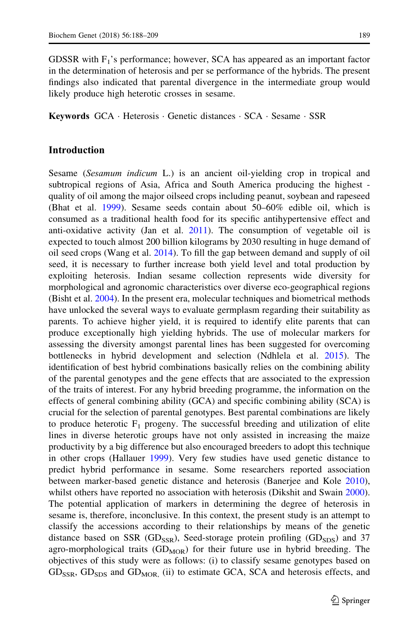GDSSR with  $F_1$ 's performance; however, SCA has appeared as an important factor in the determination of heterosis and per se performance of the hybrids. The present findings also indicated that parental divergence in the intermediate group would likely produce high heterotic crosses in sesame.

Keywords GCA · Heterosis · Genetic distances · SCA · Sesame · SSR

# Introduction

Sesame (Sesamum indicum L.) is an ancient oil-yielding crop in tropical and subtropical regions of Asia, Africa and South America producing the highest quality of oil among the major oilseed crops including peanut, soybean and rapeseed (Bhat et al. [1999\)](#page-20-0). Sesame seeds contain about 50–60% edible oil, which is consumed as a traditional health food for its specific antihypertensive effect and anti-oxidative activity (Jan et al. [2011](#page-21-0)). The consumption of vegetable oil is expected to touch almost 200 billion kilograms by 2030 resulting in huge demand of oil seed crops (Wang et al. [2014](#page-21-0)). To fill the gap between demand and supply of oil seed, it is necessary to further increase both yield level and total production by exploiting heterosis. Indian sesame collection represents wide diversity for morphological and agronomic characteristics over diverse eco-geographical regions (Bisht et al. [2004\)](#page-20-0). In the present era, molecular techniques and biometrical methods have unlocked the several ways to evaluate germplasm regarding their suitability as parents. To achieve higher yield, it is required to identify elite parents that can produce exceptionally high yielding hybrids. The use of molecular markers for assessing the diversity amongst parental lines has been suggested for overcoming bottlenecks in hybrid development and selection (Ndhlela et al. [2015\)](#page-21-0). The identification of best hybrid combinations basically relies on the combining ability of the parental genotypes and the gene effects that are associated to the expression of the traits of interest. For any hybrid breeding programme, the information on the effects of general combining ability (GCA) and specific combining ability (SCA) is crucial for the selection of parental genotypes. Best parental combinations are likely to produce heterotic  $F_1$  progeny. The successful breeding and utilization of elite lines in diverse heterotic groups have not only assisted in increasing the maize productivity by a big difference but also encouraged breeders to adopt this technique in other crops (Hallauer [1999\)](#page-20-0). Very few studies have used genetic distance to predict hybrid performance in sesame. Some researchers reported association between marker-based genetic distance and heterosis (Banerjee and Kole [2010\)](#page-20-0), whilst others have reported no association with heterosis (Dikshit and Swain [2000\)](#page-20-0). The potential application of markers in determining the degree of heterosis in sesame is, therefore, inconclusive. In this context, the present study is an attempt to classify the accessions according to their relationships by means of the genetic distance based on SSR ( $GD<sub>SSR</sub>$ ), Seed-storage protein profiling ( $GD<sub>SDS</sub>$ ) and 37 agro-morphological traits  $(GD<sub>MOR</sub>)$  for their future use in hybrid breeding. The objectives of this study were as follows: (i) to classify sesame genotypes based on  $GD_{SSR}$ ,  $GD_{SDS}$  and  $GD_{MOR}$  (ii) to estimate GCA, SCA and heterosis effects, and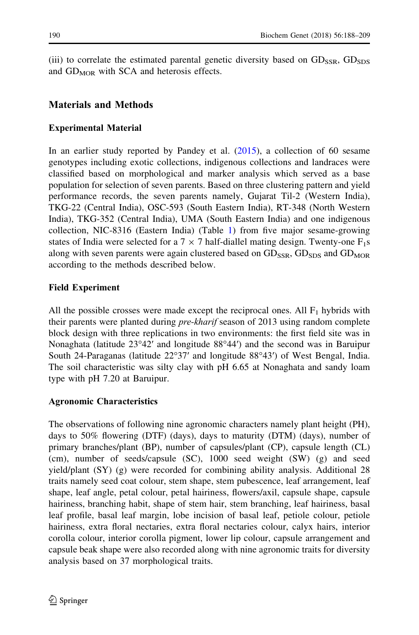(iii) to correlate the estimated parental genetic diversity based on  $GD_{SSR}$ ,  $GD_{SDS}$ and  $GD<sub>MOR</sub>$  with SCA and heterosis effects.

# Materials and Methods

### Experimental Material

In an earlier study reported by Pandey et al. [\(2015](#page-21-0)), a collection of 60 sesame genotypes including exotic collections, indigenous collections and landraces were classified based on morphological and marker analysis which served as a base population for selection of seven parents. Based on three clustering pattern and yield performance records, the seven parents namely, Gujarat Til-2 (Western India), TKG-22 (Central India), OSC-593 (South Eastern India), RT-348 (North Western India), TKG-352 (Central India), UMA (South Eastern India) and one indigenous collection, NIC-8316 (Eastern India) (Table [1](#page-3-0)) from five major sesame-growing states of India were selected for a  $7 \times 7$  half-diallel mating design. Twenty-one  $F_1s$ along with seven parents were again clustered based on  $GD_{SSR}$ ,  $GD_{SDS}$  and  $GD_{MOR}$ according to the methods described below.

### Field Experiment

All the possible crosses were made except the reciprocal ones. All  $F_1$  hybrids with their parents were planted during *pre-kharif* season of 2013 using random complete block design with three replications in two environments: the first field site was in Nonaghata (latitude 23°42′ and longitude 88°44′) and the second was in Baruipur South 24-Paraganas (latitude 22°37′ and longitude 88°43′) of West Bengal, India. The soil characteristic was silty clay with pH 6.65 at Nonaghata and sandy loam type with pH 7.20 at Baruipur.

#### Agronomic Characteristics

The observations of following nine agronomic characters namely plant height (PH), days to 50% flowering (DTF) (days), days to maturity (DTM) (days), number of primary branches/plant (BP), number of capsules/plant (CP), capsule length (CL) (cm), number of seeds/capsule (SC), 1000 seed weight (SW) (g) and seed yield/plant (SY) (g) were recorded for combining ability analysis. Additional 28 traits namely seed coat colour, stem shape, stem pubescence, leaf arrangement, leaf shape, leaf angle, petal colour, petal hairiness, flowers/axil, capsule shape, capsule hairiness, branching habit, shape of stem hair, stem branching, leaf hairiness, basal leaf profile, basal leaf margin, lobe incision of basal leaf, petiole colour, petiole hairiness, extra floral nectaries, extra floral nectaries colour, calyx hairs, interior corolla colour, interior corolla pigment, lower lip colour, capsule arrangement and capsule beak shape were also recorded along with nine agronomic traits for diversity analysis based on 37 morphological traits.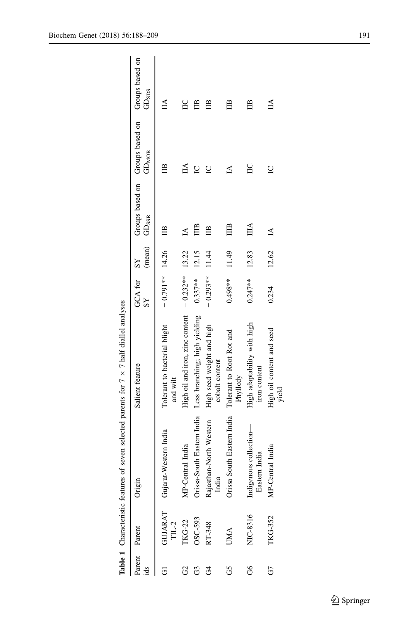<span id="page-3-0"></span>

| ids    | Parent Parent | ⊟<br>Origii                                                                                                                              | Salient feature                                                                                                                   | GCA for SY<br>SS     | (mean) GD <sub>SSR</sub> |              | Groups based on Groups based on Groups based on<br>GD <sub>MOR</sub> | GD <sub>3DS</sub> |
|--------|---------------|------------------------------------------------------------------------------------------------------------------------------------------|-----------------------------------------------------------------------------------------------------------------------------------|----------------------|--------------------------|--------------|----------------------------------------------------------------------|-------------------|
|        |               | GUJARAT Gujarat-Western India<br>TIL-2<br>TKG-22 MP-Central India<br>OSC-593 Orissa-South Eastern Indi<br>RT-348 Rajasthan-North Western | Tolerant to bacterial blight<br>and wilt                                                                                          | $-0.791**$ 14.26 IIB |                          |              | ⊞                                                                    | $\mathbb{A}$      |
| 8      |               |                                                                                                                                          | High oil and iron, zinc content $-0.232**$ 13.22                                                                                  |                      |                          | $\Delta$     | ₫                                                                    | $\Xi$             |
| යි     |               |                                                                                                                                          | MP-Central India High oil and iron, zinc content $-0.232**$<br>Orissa-South Eastern India Less branching; high yielding $0.337**$ |                      | 12.15                    | ₿            | $\overline{C}$                                                       | ₿                 |
| F      |               | Rajasthan-North Western<br>India                                                                                                         | High seed weight and high<br>cobalt content                                                                                       | $-0.293**$ 11.44     |                          | ≌            | $\overline{C}$                                                       | ≌                 |
| S      | <b>UMA</b>    | Orissa-South Eastern India Tolerant to Root Rot and                                                                                      | Phyllody                                                                                                                          | $0.498***$ 11.49     |                          | $\mathbb{H}$ | 14                                                                   | ≘                 |
| .<br>ა | NIC-8316      | Indigenous collection-<br>Eastern India                                                                                                  | High adaptability with high<br>iron content                                                                                       | $0.247***$           | 12.83                    | $\mathbb{H}$ | $\Xi$                                                                | ≘                 |
|        | TKG-352       | MP-Central India                                                                                                                         | High oil content and seed<br>yield                                                                                                | 0.234                | 12.62                    | $\Delta$     | $\triangleright$                                                     | ĺА                |

**Table 1** Characteristic features of seven selected parents for  $7 \times 7$  half diallel analyses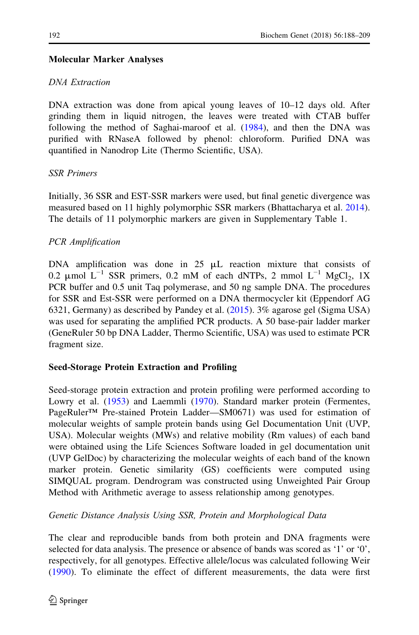# Molecular Marker Analyses

# DNA Extraction

DNA extraction was done from apical young leaves of 10–12 days old. After grinding them in liquid nitrogen, the leaves were treated with CTAB buffer following the method of Saghai-maroof et al. [\(1984](#page-21-0)), and then the DNA was purified with RNaseA followed by phenol: chloroform. Purified DNA was quantified in Nanodrop Lite (Thermo Scientific, USA).

# SSR Primers

Initially, 36 SSR and EST-SSR markers were used, but final genetic divergence was measured based on 11 highly polymorphic SSR markers (Bhattacharya et al. [2014\)](#page-20-0). The details of 11 polymorphic markers are given in Supplementary Table 1.

# PCR Amplification

DNA amplification was done in  $25 \mu L$  reaction mixture that consists of 0.2 µmol  $L^{-1}$  SSR primers, 0.2 mM of each dNTPs, 2 mmol  $L^{-1}$  MgCl<sub>2</sub>, 1X PCR buffer and 0.5 unit Taq polymerase, and 50 ng sample DNA. The procedures for SSR and Est-SSR were performed on a DNA thermocycler kit (Eppendorf AG 6321, Germany) as described by Pandey et al. [\(2015](#page-21-0)). 3% agarose gel (Sigma USA) was used for separating the amplified PCR products. A 50 base-pair ladder marker (GeneRuler 50 bp DNA Ladder, Thermo Scientific, USA) was used to estimate PCR fragment size.

# Seed-Storage Protein Extraction and Profiling

Seed-storage protein extraction and protein profiling were performed according to Lowry et al. [\(1953](#page-21-0)) and Laemmli ([1970\)](#page-21-0). Standard marker protein (Fermentes, PageRuler™ Pre-stained Protein Ladder—SM0671) was used for estimation of molecular weights of sample protein bands using Gel Documentation Unit (UVP, USA). Molecular weights (MWs) and relative mobility (Rm values) of each band were obtained using the Life Sciences Software loaded in gel documentation unit (UVP GelDoc) by characterizing the molecular weights of each band of the known marker protein. Genetic similarity (GS) coefficients were computed using SIMQUAL program. Dendrogram was constructed using Unweighted Pair Group Method with Arithmetic average to assess relationship among genotypes.

# Genetic Distance Analysis Using SSR, Protein and Morphological Data

The clear and reproducible bands from both protein and DNA fragments were selected for data analysis. The presence or absence of bands was scored as '1' or '0', respectively, for all genotypes. Effective allele/locus was calculated following Weir [\(1990](#page-21-0)). To eliminate the effect of different measurements, the data were first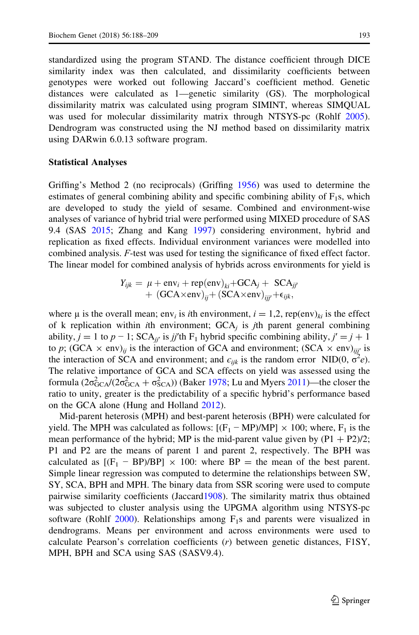standardized using the program STAND. The distance coefficient through DICE similarity index was then calculated, and dissimilarity coefficients between genotypes were worked out following Jaccard's coefficient method. Genetic distances were calculated as 1—genetic similarity (GS). The morphological dissimilarity matrix was calculated using program SIMINT, whereas SIMQUAL was used for molecular dissimilarity matrix through NTSYS-pc (Rohlf [2005\)](#page-21-0). Dendrogram was constructed using the NJ method based on dissimilarity matrix using DARwin 6.0.13 software program.

#### Statistical Analyses

Griffing's Method 2 (no reciprocals) (Griffing [1956\)](#page-20-0) was used to determine the estimates of general combining ability and specific combining ability of  $F_1$ s, which are developed to study the yield of sesame. Combined and environment-wise analyses of variance of hybrid trial were performed using MIXED procedure of SAS 9.4 (SAS [2015](#page-21-0); Zhang and Kang [1997\)](#page-21-0) considering environment, hybrid and replication as fixed effects. Individual environment variances were modelled into combined analysis. F-test was used for testing the significance of fixed effect factor. The linear model for combined analysis of hybrids across environments for yield is

$$
Y_{ijk} = \mu + \text{env}_i + \text{rep}(\text{env})_{ki} + \text{GCA}_j + \text{SCA}_{jj'} + (\text{GCA} \times \text{env})_{ij'} + (\text{SCA} \times \text{env})_{ij'} + \epsilon_{ijk},
$$

where  $\mu$  is the overall mean; env<sub>i</sub> is *i*th environment,  $i = 1,2$ , rep(env)<sub>ki</sub> is the effect of k replication within *i*th environment;  $GCA<sub>j</sub>$  is *j*th parent general combining ability,  $j = 1$  to  $p - 1$ ; SCA<sub>ij'</sub> is jj'th F<sub>1</sub> hybrid specific combining ability,  $j' = j + 1$ to p; (GCA  $\times$  env)<sub>ij</sub> is the interaction of GCA and environment; (SCA  $\times$  env)<sub>ijj'</sub> is the interaction of SCA and environment; and  $\epsilon_{ijk}$  is the random error NID(0,  $\vec{\sigma}^2 e$ ). The relative importance of GCA and SCA effects on yield was assessed using the formula  $(2\sigma_{GCA}^2/(2\sigma_{GCA}^2 + \sigma_{SCA}^2))$  (Baker [1978;](#page-20-0) Lu and Myers [2011\)](#page-21-0)—the closer the ratio to unity, greater is the predictability of a specific hybrid's performance based on the GCA alone (Hung and Holland [2012](#page-21-0)).

Mid-parent heterosis (MPH) and best-parent heterosis (BPH) were calculated for yield. The MPH was calculated as follows:  $[(F_1 - MP)/MP] \times 100$ ; where,  $F_1$  is the mean performance of the hybrid; MP is the mid-parent value given by  $(P1 + P2)/2$ ; P1 and P2 are the means of parent 1 and parent 2, respectively. The BPH was calculated as  $[(F_1 - BP)/BP] \times 100$ : where  $BP =$  the mean of the best parent. Simple linear regression was computed to determine the relationships between SW, SY, SCA, BPH and MPH. The binary data from SSR scoring were used to compute pairwise similarity coefficients (Jaccard[1908](#page-21-0)). The similarity matrix thus obtained was subjected to cluster analysis using the UPGMA algorithm using NTSYS-pc software (Rohlf [2000](#page-21-0)). Relationships among  $F_1s$  and parents were visualized in dendrograms. Means per environment and across environments were used to calculate Pearson's correlation coefficients (r) between genetic distances, F1SY, MPH, BPH and SCA using SAS (SASV9.4).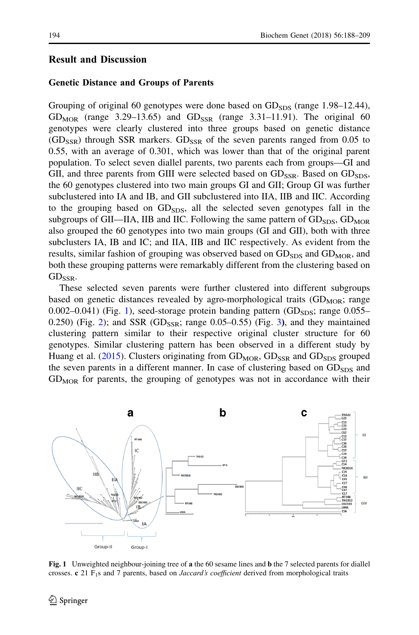# <span id="page-6-0"></span>Result and Discussion

### Genetic Distance and Groups of Parents

Grouping of original 60 genotypes were done based on  $GD_{SDS}$  (range 1.98–12.44), GD<sub>MOR</sub> (range 3.29–13.65) and GD<sub>SSR</sub> (range 3.31–11.91). The original 60 genotypes were clearly clustered into three groups based on genetic distance  $(GD<sub>SSR</sub>)$  through SSR markers.  $GD<sub>SSR</sub>$  of the seven parents ranged from 0.05 to 0.55, with an average of 0.301, which was lower than that of the original parent population. To select seven diallel parents, two parents each from groups—GI and GII, and three parents from GIII were selected based on  $GD_{SSR}$ . Based on  $GD_{SDS}$ , the 60 genotypes clustered into two main groups GI and GII; Group GI was further subclustered into IA and IB, and GII subclustered into IIA, IIB and IIC. According to the grouping based on  $GD<sub>SDS</sub>$ , all the selected seven genotypes fall in the subgroups of GII—IIA, IIB and IIC. Following the same pattern of  $GD<sub>SDS</sub>$ ,  $GD<sub>MOR</sub>$ also grouped the 60 genotypes into two main groups (GI and GII), both with three subclusters IA, IB and IC; and IIA, IIB and IIC respectively. As evident from the results, similar fashion of grouping was observed based on  $GD<sub>SDS</sub>$  and  $GD<sub>MOR</sub>$ , and both these grouping patterns were remarkably different from the clustering based on  $GD_{SSR}$ .

These selected seven parents were further clustered into different subgroups based on genetic distances revealed by agro-morphological traits  $(GD<sub>MOR</sub>)$ ; range  $0.002-0.041$ ) (Fig. 1), seed-storage protein banding pattern (GD<sub>SDS</sub>; range  $0.055-$ 0.[2](#page-7-0)50) (Fig. 2); and SSR (GD<sub>SSR</sub>; range 0.05–0.55) (Fig. [3](#page-7-0)), and they maintained clustering pattern similar to their respective original cluster structure for 60 genotypes. Similar clustering pattern has been observed in a different study by Huang et al. ([2015\)](#page-21-0). Clusters originating from  $GD<sub>MOR</sub>$ ,  $GD<sub>SSR</sub>$  and  $GD<sub>SDS</sub>$  grouped the seven parents in a different manner. In case of clustering based on  $GD<sub>SDS</sub>$  and  $GD<sub>MOR</sub>$  for parents, the grouping of genotypes was not in accordance with their



Fig. 1 Unweighted neighbour-joining tree of a the 60 sesame lines and b the 7 selected parents for diallel crosses. c 21 F<sub>1</sub>s and 7 parents, based on *Jaccard's coefficient* derived from morphological traits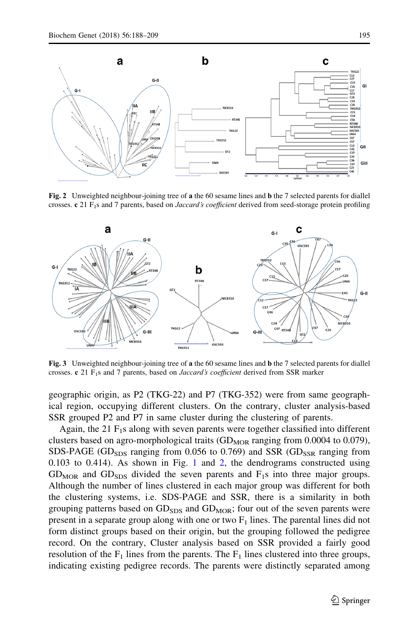<span id="page-7-0"></span>

Fig. 2 Unweighted neighbour-joining tree of a the 60 sesame lines and **b** the 7 selected parents for diallel crosses. c 21 F<sub>1</sub>s and 7 parents, based on *Jaccard's coefficient* derived from seed-storage protein profiling



Fig. 3 Unweighted neighbour-joining tree of a the 60 sesame lines and **b** the 7 selected parents for diallel crosses. c 21  $F_1s$  and 7 parents, based on *Jaccard's coefficient* derived from SSR marker

geographic origin, as P2 (TKG-22) and P7 (TKG-352) were from same geographical region, occupying different clusters. On the contrary, cluster analysis-based SSR grouped P2 and P7 in same cluster during the clustering of parents.

Again, the 21  $F_1$ s along with seven parents were together classified into different clusters based on agro-morphological traits  $(GD<sub>MOR</sub>$  ranging from 0.0004 to 0.079), SDS-PAGE (GD<sub>SDS</sub> ranging from 0.056 to 0.769) and SSR (GD<sub>SSR</sub> ranging from 0.103 to 0.414). As shown in Fig. [1](#page-6-0) and 2, the dendrograms constructed using  $GD<sub>MOR</sub>$  and  $GD<sub>SDS</sub>$  divided the seven parents and  $F<sub>1</sub>s$  into three major groups. Although the number of lines clustered in each major group was different for both the clustering systems, i.e. SDS-PAGE and SSR, there is a similarity in both grouping patterns based on  $GD<sub>SDS</sub>$  and  $GD<sub>MOR</sub>$ ; four out of the seven parents were present in a separate group along with one or two  $F_1$  lines. The parental lines did not form distinct groups based on their origin, but the grouping followed the pedigree record. On the contrary, Cluster analysis based on SSR provided a fairly good resolution of the  $F_1$  lines from the parents. The  $F_1$  lines clustered into three groups, indicating existing pedigree records. The parents were distinctly separated among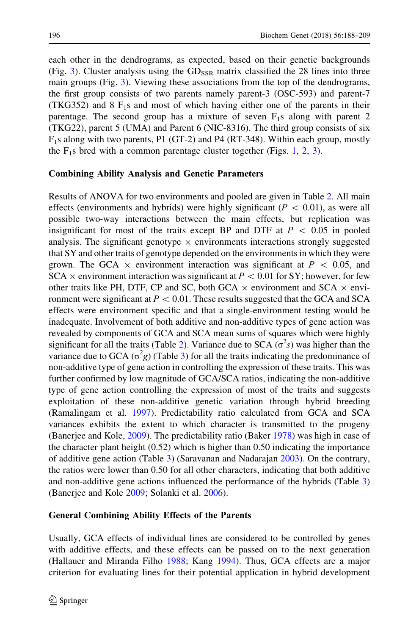each other in the dendrograms, as expected, based on their genetic backgrounds (Fig. [3\)](#page-7-0). Cluster analysis using the  $GD_{SSR}$  matrix classified the 28 lines into three main groups (Fig. [3\)](#page-7-0). Viewing these associations from the top of the dendrograms, the first group consists of two parents namely parent-3 (OSC-593) and parent-7 (TKG352) and  $8 F<sub>1</sub>s$  and most of which having either one of the parents in their parentage. The second group has a mixture of seven  $F_1$ s along with parent 2 (TKG22), parent 5 (UMA) and Parent 6 (NIC-8316). The third group consists of six F1s along with two parents, P1 (GT-2) and P4 (RT-348). Within each group, mostly the  $F_1$  $F_1$ s bred with a common parentage cluster together (Figs. 1, [2](#page-7-0), [3\)](#page-7-0).

### Combining Ability Analysis and Genetic Parameters

Results of ANOVA for two environments and pooled are given in Table [2.](#page-9-0) All main effects (environments and hybrids) were highly significant ( $P \, < 0.01$ ), as were all possible two-way interactions between the main effects, but replication was insignificant for most of the traits except BP and DTF at  $P \, < \, 0.05$  in pooled analysis. The significant genotype  $\times$  environments interactions strongly suggested that SY and other traits of genotype depended on the environments in which they were grown. The GCA  $\times$  environment interaction was significant at  $P \, < \, 0.05$ , and  $SCA \times$  environment interaction was significant at  $P < 0.01$  for SY; however, for few other traits like PH, DTF, CP and SC, both GCA  $\times$  environment and SCA  $\times$  environment were significant at  $P \, < 0.01$ . These results suggested that the GCA and SCA effects were environment specific and that a single-environment testing would be inadequate. Involvement of both additive and non-additive types of gene action was revealed by components of GCA and SCA mean sums of squares which were highly significant for all the traits (Table [2\)](#page-9-0). Variance due to SCA ( $\sigma^2 s$ ) was higher than the variance due to GCA ( $\sigma^2$ g) (Table [3](#page-10-0)) for all the traits indicating the predominance of non-additive type of gene action in controlling the expression of these traits. This was further confirmed by low magnitude of GCA/SCA ratios, indicating the non-additive type of gene action controlling the expression of most of the traits and suggests exploitation of these non-additive genetic variation through hybrid breeding (Ramalingam et al. [1997](#page-21-0)). Predictability ratio calculated from GCA and SCA variances exhibits the extent to which character is transmitted to the progeny (Banerjee and Kole, [2009\)](#page-20-0). The predictability ratio (Baker [1978](#page-20-0)) was high in case of the character plant height (0.52) which is higher than 0.50 indicating the importance of additive gene action (Table [3\)](#page-10-0) (Saravanan and Nadarajan [2003](#page-21-0)). On the contrary, the ratios were lower than 0.50 for all other characters, indicating that both additive and non-additive gene actions influenced the performance of the hybrids (Table [3](#page-10-0)) (Banerjee and Kole [2009](#page-20-0); Solanki et al. [2006\)](#page-21-0).

#### General Combining Ability Effects of the Parents

Usually, GCA effects of individual lines are considered to be controlled by genes with additive effects, and these effects can be passed on to the next generation (Hallauer and Miranda Filho [1988;](#page-21-0) Kang [1994](#page-21-0)). Thus, GCA effects are a major criterion for evaluating lines for their potential application in hybrid development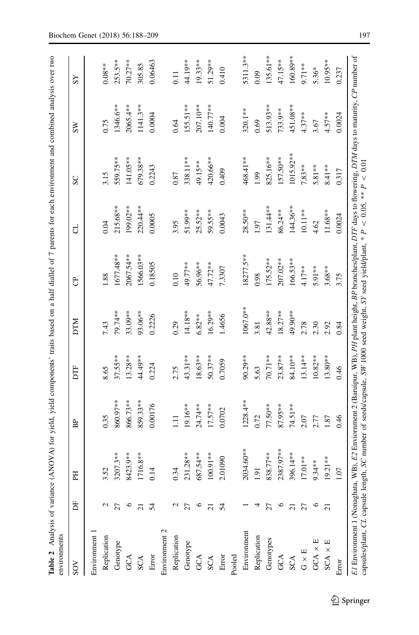<span id="page-9-0"></span>

| SOV            | Б                   | EH          | Ê          | E          | <b>NILO</b> | පි          | ರ           | SC           | ŠΜ         | SS                |
|----------------|---------------------|-------------|------------|------------|-------------|-------------|-------------|--------------|------------|-------------------|
| Environment 1  |                     |             |            |            |             |             |             |              |            |                   |
| Replication    | N                   | 3.52        | 0.35       | 8.65       | 7.43        | 1.88        | 0.04        | 3.15         | 0.75       | $0.08***$         |
| Genotype       | 27                  | $3207.3**$  | 860.97**   | $37.55***$ | 79.74**     | 1677.48**   | $215.68***$ | 559.75**     | 1346.6**   | 253.5**           |
| GCA            | ७                   | 8423.9**    | 866.73**   | $13.28**$  | 33.09**     | 2067.54**   | 199.02**    | $141.05***$  | 2065.4**   | 70.27**           |
| SCA            | $\overline{\Omega}$ | 716.8**     | 859.33**   | $44.49**$  | 93.06**     | 1566.03**   | 220.44**    | 679.38**     | $1141.3**$ | 305.85            |
| Error          | 54                  | 0.14        | 0.00176    | 0.224      | 0.2226      | 0.18505     | 0.0005      | 0.2243       | 0.0004     | 0.06463           |
| Environment 2  |                     |             |            |            |             |             |             |              |            |                   |
| Replication    | N                   | 0.34        | $\Xi$      | 2.75       | 0.29        | 0.10        | 3.95        | 0.87         | 0.64       | $\overline{0.11}$ |
| Genotype       | 27                  | $231.28**$  | 19.16**    | 43.31**    | 14.18**     | 49.77**     | 51.99**     | 338.11**     | 155.51**   | 44.19**           |
| GCA            | ७                   | 687.54**    | 24.74**    | $18.63**$  | $6.82***$   | 56.96**     | $25.52***$  | 49.15**      | 207.10**   | 19.33**           |
| SCA            | ಸ                   | $00.91***$  | $17.57***$ | $50.37***$ | $16.29**$   | 47.72**     | 59.55**     | 420.66**     | 140.77**   | 51.29**           |
| Error          | 54                  | 2.01090     | 0.0702     | 0.7059     | 1.4656      | 7.3307      | 0.0043      | 0.409        | 0.004      | 0.410             |
| Pooled         |                     |             |            |            |             |             |             |              |            |                   |
| Environment    |                     | 2034.60**   | $1228.4**$ | 90.29**    | 1067.0**    | 18277.5**   | $28.50**$   | 468.41**     | 320.1**    | 5311.3**          |
| Replication    |                     | $\ddot{9}$  | 0.72       | 5.63       | 3.81        | 0.98        | 1.97        | 1.99         | 0.69       | 0.09              |
| Genotypes      | 27                  | 838.77**    | 77.50**    | 70.71**    | 42.88**     | $175.52***$ | 131.44**    | 825.16**     | 513.93**   | 135.61**          |
| GCA            | ७                   | 2387.97**   | 87.95**    | $23.87***$ | $18.27***$  | 207.02**    | 86.24 **    | 157.50**     | 733.9**    | 47.15**           |
| <b>SCA</b>     | $\overline{\Omega}$ | 96.14**     | 74.51**    | 84.10**    | 49.90**     | 166.53**    | 144.36**    | $1015.92***$ | 451.08**   | 160.89**          |
| $G \times E$   | 27                  | 17.01**     | 2.07       | $13.14***$ | 2.78        | $4.17***$   | $10.11**$   | 7.83**       | $4.37**$   | $9.71**$          |
| GCA $\times$ E | ७                   | $9.34***$   | 2.77       | $10.82**$  | 2.30        | 5.91 **     | 4.62        | 5.81**       | 3.67       | 5.36*             |
| $SCA \times E$ | $\overline{c}$      | $19.21**$   | 1.87       | $13.80**$  | 2.92        | $3.68***$   | $11.68**$   | 8.41**       | $4.57**$   | $10.95***$        |
| Error          |                     | <b>CO</b> . | 0.46       | 0.46       | 0.84        | 3.75        | 0.0024      | 0.317        | 0.0024     | 0.237             |

 $\hat{Z}$  Springer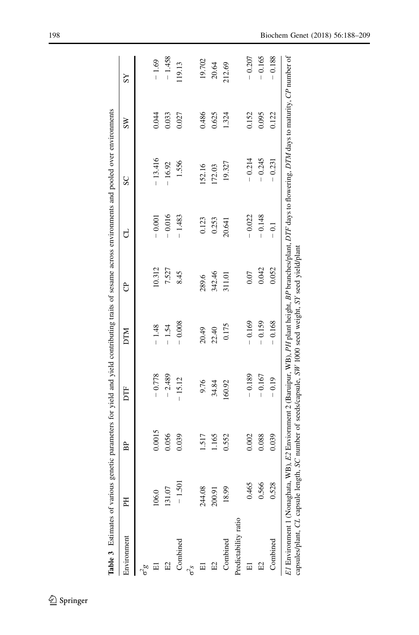<span id="page-10-0"></span>

| Environment          | E      | BP     | DTF      | NIN      | පි     | ರ        | SC        | $\overline{\text{ss}}$ | ΣŠ       |
|----------------------|--------|--------|----------|----------|--------|----------|-----------|------------------------|----------|
| $6\frac{6}{9}$       |        |        |          |          |        |          |           |                        |          |
|                      | 106.0  | 0.0015 | $-0.778$ | $-1.48$  | 10.312 | $-0.001$ | $-13.416$ | 0.044                  | $-1.69$  |
| 입                    | 131.07 | 0.056  | $-2.489$ | $-1.54$  | 7.527  | $-0.016$ | $-16.92$  | 0.033                  | $-1.458$ |
| Combined             | 1.501  | 0.039  | $-15.12$ | $-0.008$ | 8.45   | $-1.483$ | 1.556     | 0.027                  | 119.13   |
| $\sigma^2$           |        |        |          |          |        |          |           |                        |          |
|                      | 244.08 | 1.517  | 9.76     | 20.49    | 289.6  | 0.123    | 152.16    | 0.486                  | 19.702   |
| $E_2$                | 200.91 | 1.165  | 34.84    | 22.40    | 342.46 | 0.253    | 172.03    | 0.625                  | 20.64    |
| Combined             | 18.99  | 0.552  | 160.92   | 0.175    | 311.01 | 20.641   | 19.327    | 1.324                  | 212.69   |
| Predictability ratio |        |        |          |          |        |          |           |                        |          |
| 囩                    | 0.465  | 0.002  | $-0.189$ | $-0.169$ | 0.07   | $-0.022$ | $-0.214$  | 0.152                  | $-0.207$ |
| 임                    | 0.566  | 0.088  | $-0.167$ | $-0.159$ | 0.042  | $-0.148$ | $-0.245$  | 0.095                  | $-0.165$ |
| Combined             | 0.528  | 0.039  | $-0.19$  | $-0.168$ | 0.052  | $-0.1$   | $-0.231$  | 0.122                  | $-0.188$ |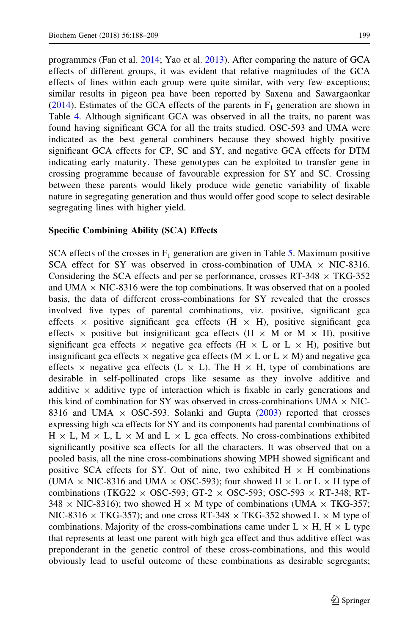programmes (Fan et al. [2014;](#page-20-0) Yao et al. [2013](#page-21-0)). After comparing the nature of GCA effects of different groups, it was evident that relative magnitudes of the GCA effects of lines within each group were quite similar, with very few exceptions; similar results in pigeon pea have been reported by Saxena and Sawargaonkar [\(2014](#page-21-0)). Estimates of the GCA effects of the parents in  $F_1$  generation are shown in Table [4.](#page-12-0) Although significant GCA was observed in all the traits, no parent was found having significant GCA for all the traits studied. OSC-593 and UMA were indicated as the best general combiners because they showed highly positive significant GCA effects for CP, SC and SY, and negative GCA effects for DTM indicating early maturity. These genotypes can be exploited to transfer gene in crossing programme because of favourable expression for SY and SC. Crossing between these parents would likely produce wide genetic variability of fixable nature in segregating generation and thus would offer good scope to select desirable segregating lines with higher yield.

### Specific Combining Ability (SCA) Effects

SCA effects of the crosses in  $F_1$  generation are given in Table [5](#page-14-0). Maximum positive SCA effect for SY was observed in cross-combination of UMA  $\times$  NIC-8316. Considering the SCA effects and per se performance, crosses RT-348  $\times$  TKG-352 and UMA  $\times$  NIC-8316 were the top combinations. It was observed that on a pooled basis, the data of different cross-combinations for SY revealed that the crosses involved five types of parental combinations, viz. positive, significant gca effects  $\times$  positive significant gca effects (H  $\times$  H), positive significant gca effects  $\times$  positive but insignificant gca effects (H  $\times$  M or M  $\times$  H), positive significant gca effects  $\times$  negative gca effects (H  $\times$  L or L  $\times$  H), positive but insignificant gca effects  $\times$  negative gca effects (M  $\times$  L or L  $\times$  M) and negative gca effects  $\times$  negative gca effects (L  $\times$  L). The H  $\times$  H, type of combinations are desirable in self-pollinated crops like sesame as they involve additive and additive  $\times$  additive type of interaction which is fixable in early generations and this kind of combination for SY was observed in cross-combinations UMA  $\times$  NIC-8316 and UMA  $\times$  OSC-593. Solanki and Gupta ([2003\)](#page-21-0) reported that crosses expressing high sca effects for SY and its components had parental combinations of  $H \times L$ ,  $M \times L$ ,  $L \times M$  and  $L \times L$  gca effects. No cross-combinations exhibited significantly positive sca effects for all the characters. It was observed that on a pooled basis, all the nine cross-combinations showing MPH showed significant and positive SCA effects for SY. Out of nine, two exhibited  $H \times H$  combinations (UMA  $\times$  NIC-8316 and UMA  $\times$  OSC-593); four showed H  $\times$  L or L  $\times$  H type of combinations (TKG22  $\times$  OSC-593; GT-2  $\times$  OSC-593; OSC-593  $\times$  RT-348; RT- $348 \times$  NIC-8316); two showed H  $\times$  M type of combinations (UMA  $\times$  TKG-357; NIC-8316  $\times$  TKG-357); and one cross RT-348  $\times$  TKG-352 showed L  $\times$  M type of combinations. Majority of the cross-combinations came under  $L \times H$ ,  $H \times L$  type that represents at least one parent with high gca effect and thus additive effect was preponderant in the genetic control of these cross-combinations, and this would obviously lead to useful outcome of these combinations as desirable segregants;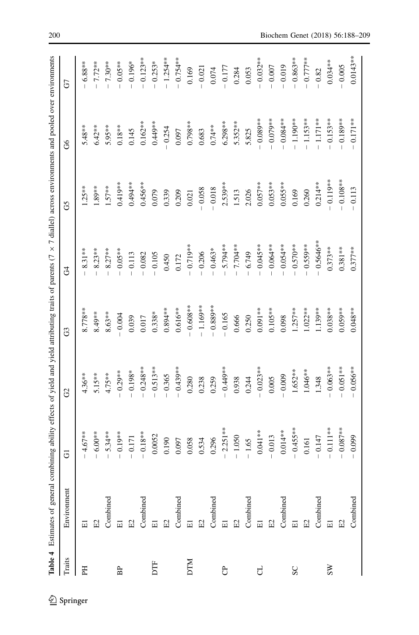<span id="page-12-0"></span>

|                | Table 4 Estimates of general combining ability effects of yield and yield attributing traits of parents $(7 \times 7 \text{ dialel})$ across environments and pooled over environments |             |             |             |             |            |             |             |
|----------------|----------------------------------------------------------------------------------------------------------------------------------------------------------------------------------------|-------------|-------------|-------------|-------------|------------|-------------|-------------|
| Traits         | Environment                                                                                                                                                                            | 5           | G           | G           | 3           | G5         | 8           | GT          |
| EH             | $\Xi$                                                                                                                                                                                  | $4.67***$   | $4.36**$    | $8.778***$  | $8.31***$   | $1.25***$  | $5.48***$   | $-6.88***$  |
|                | $\Xi$                                                                                                                                                                                  | $-6.00**$   | $5.15***$   | $8.49**$    | $8.23**$    | $1.89**$   | $6.42***$   | $-7.72**$   |
|                | Combined                                                                                                                                                                               | $-5.34**$   | $4.75***$   | $8.63***$   | $8.27***$   | $1.57***$  | 5.95**      | $-7.30**$   |
| BP             | $\overline{\Xi}$                                                                                                                                                                       | $-0.19**$   | $-0.29**$   | $-0.004$    | $-0.05**$   | $0.419**$  | $0.18***$   | $-0.05**$   |
|                | $\Xi$                                                                                                                                                                                  | $-0.171$    | $-0.198*$   | 0.039       | $-0.113$    | $0.494**$  | 0.145       | $-0.196*$   |
|                | Combined                                                                                                                                                                               | $-0.18**$   | $-0.248**$  | 0.017       | $-0.082$    | $0.456**$  | $0.162**$   | $-0.123**$  |
| DTF            | $\overline{\Xi}$                                                                                                                                                                       | 0.0052      | $-0.513**$  | $0.338*$    | $-0.105$    | 0.079      | $0.449**$   | $-0.253*$   |
|                | $\rm E2$                                                                                                                                                                               | 0.190       | $-0.365$    | $0.894***$  | 0.450       | 0.339      | $-0.254$    | $-1.254***$ |
|                | Combined                                                                                                                                                                               | 0.097       | $-0.439***$ | $0.616**$   | 0.172       | 0.209      | 0.097       | $-0.754**$  |
| <b>DTM</b>     |                                                                                                                                                                                        | 0.058       | 0.280       | $-0.608***$ | $-0.719***$ | $0.021\,$  | $0.798**$   | 0.169       |
|                | $\Xi$ $\Xi$                                                                                                                                                                            | 0.534       | 0.238       | $-1.169***$ | $-0.206$    | $-0.058$   | 0.683       | $-0.021$    |
|                | Combined                                                                                                                                                                               | 0.296       | 0.259       | $-0.889**$  | $-0.463*$   | $-0.018$   | $0.74***$   | 0.074       |
| පි             | $\Xi$ $\Xi$                                                                                                                                                                            | $-2.251**$  | $-0.449**$  | $-0.165$    | 5.794**     | $2.539***$ | $6.298***$  | $-0.177$    |
|                |                                                                                                                                                                                        | $-1.050$    | 0.938       | 0.666       | 7.704**     | 1.513      | $5.352***$  | 0.284       |
|                | Combined                                                                                                                                                                               | $-1.65$     | 0.244       | 0.250       | 6.749       | 2.026      | 5.825       | 0.053       |
| ರ              | $\overline{\Xi}$                                                                                                                                                                       | $0.041**$   | $-0.023**$  | $0.091***$  | $-0.045**$  | $0.057***$ | $-0.089**$  | $-0.032***$ |
|                | $\Xi$                                                                                                                                                                                  | $-0.013$    | 0.005       | $0.105***$  | $-0.064***$ | $0.053**$  | $-0.079***$ | $-0.007$    |
|                | Combined                                                                                                                                                                               | $0.014**$   | $-0.009$    | 0.098       | $-0.054**$  | $0.055**$  | $-0.084***$ | $-0.019$    |
| SC             | $\Xi$                                                                                                                                                                                  | $-0.455***$ | $1.652**$   | $1.257***$  | $-0.570**$  | 0.169      | $-1.190**$  | $-0.863***$ |
|                | $\Xi$                                                                                                                                                                                  | 0.161       | $1.046**$   | $1.022**$   | $-0.559***$ | 0.260      | $-1.153***$ | $-0.777**$  |
|                | Combined                                                                                                                                                                               | $-0.147$    | 1.348       | $1.139***$  | $-0.5646**$ | $0.214**$  | $-1.171**$  | $-0.82$     |
| S <sub>N</sub> |                                                                                                                                                                                        | $-0.111**$  | $-0.063**$  | $0.038**$   | $0.373**$   | $-0.119**$ | $0.153***$  | $0.034***$  |
|                | $\mathbb{E}2$                                                                                                                                                                          | $-0.087***$ | $-0.051***$ | $0.059***$  | $0.381***$  | $-0.108**$ | $-0.189***$ | $-0.005$    |
|                | Combined                                                                                                                                                                               | $-0.099$    | $-0.056***$ | $0.048**$   | $0.377***$  | $-0.113$   | $-0.171***$ | $0.0143***$ |
|                |                                                                                                                                                                                        |             |             |             |             |            |             |             |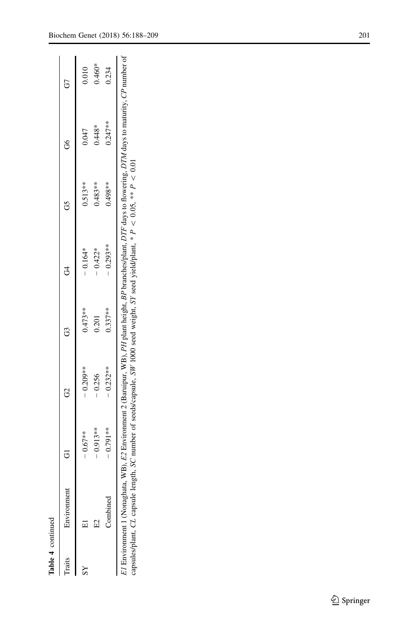| Environment                                                                                                                                                                                                                                                                                             | $\overline{c}$ | 8           |            |            |           | c<br>ت    | G        |
|---------------------------------------------------------------------------------------------------------------------------------------------------------------------------------------------------------------------------------------------------------------------------------------------------------|----------------|-------------|------------|------------|-----------|-----------|----------|
|                                                                                                                                                                                                                                                                                                         |                |             |            |            |           |           |          |
|                                                                                                                                                                                                                                                                                                         | $-0.67**$      | $-0.209**$  | $0.473**$  | $-0.164*$  | $0.513**$ | 0.047     | 0.010    |
|                                                                                                                                                                                                                                                                                                         | $-0.913***$    | 0.256       | 0.201      | $-0.422*$  | $0.483**$ | $0.448*$  | $0.460*$ |
| Combined                                                                                                                                                                                                                                                                                                | $-0.791***$    | $-0.232***$ | $0.337***$ | $-0.293**$ | $0.498**$ | $0.247**$ | 0.234    |
| 7 Environment 1 (Nonaghata, WB), E2 Environment 2 (Baruipur, WB), PH plant height, BP branches/plant, DTF days to flowering, DTM days to maturity, CP number of<br>capsules/plant, CL capsule length, SC number of seeds/capsule, SW 1000 seed weight, SY seed yield/plant, $* P < 0.05$ , $* P < 0.01$ |                |             |            |            |           |           |          |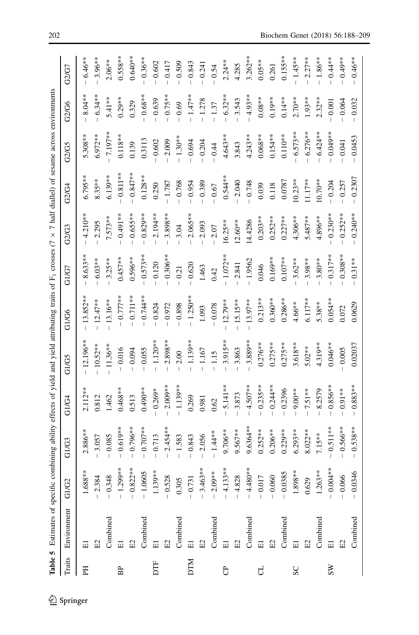<span id="page-14-0"></span>

|                   | Table 5 Estimates of specific combining ability effects of yield and yield attributing traits of F <sub>1</sub> crosses (7 x 7 half diallel) of sesame across environments |                                                                                                              |             |             |             |             |            |            |            |            |            |            |
|-------------------|----------------------------------------------------------------------------------------------------------------------------------------------------------------------------|--------------------------------------------------------------------------------------------------------------|-------------|-------------|-------------|-------------|------------|------------|------------|------------|------------|------------|
| Traits            | Environment                                                                                                                                                                | G1/G2                                                                                                        | G1/G3       | G1/G4       | GI/G5       | G1/G6       | GI/G7      | G2/G3      | G2/G4      | G2/G5      | G2/G6      | G2/G7      |
| E                 | $\overline{\Xi}$                                                                                                                                                           | $1.688**$<br>- 2.384                                                                                         | $2.886**$   | $2.112**$   | 12.196**    | $13.852**$  | $8.633**$  | $4.210**$  | $6.795***$ | $5.308**$  | $8.04**$   | $6.46**$   |
|                   | $\Xi$                                                                                                                                                                      |                                                                                                              | 3.057       | 0.812       | $-10.52***$ | $-12.47***$ | $6.03**$   | 2.295      | $8.35***$  | $6.972**$  | $-6.34**$  | $3.96**$   |
|                   | Combined                                                                                                                                                                   | $-0.348$                                                                                                     | 0.085       | 1.462       | $11.36***$  | $-13.16***$ | $3.25**$   | 7.573**    | $6.139**$  | $7.197**$  | 5.41 **    | $2.06***$  |
| $\rm{B}^{\rm{p}}$ | $\Xi$                                                                                                                                                                      | $-1.299***$                                                                                                  | $0.619**$   | $0.468***$  | $-0.016$    | $-0.777**$  | $0.457***$ | $-0.491**$ | $0.811**$  | $0.118**$  | $0.29**$   | $0.558**$  |
|                   | $\mathrm{E2}$                                                                                                                                                              | $-0.822**$                                                                                                   | $0.796***$  | 0.513       | $-0.094$    | $-0.711**$  | $0.596**$  | $-0.655**$ | $0.847**$  | 0.139      | 0.329      | $0.640**$  |
|                   |                                                                                                                                                                            | $- 1.0605$<br>1.139**<br>$- 0.528$<br>0.305<br>0.305                                                         | $-0.707***$ | $0.490**$   | $-0.055$    | $-0.744**$  | $-0.573**$ | $-0.829**$ | $0.128**$  | 0.3113     | $-0.68**$  | $-0.36***$ |
| DTF               | $\begin{array}{ll} \text{Combined} \\ \text{E1} \\ \text{E2} \end{array}$                                                                                                  |                                                                                                              | $-0.713$    | $-0.269*$   | $-1.120***$ | $-0.824$    | $-0.120$   | $-2.194**$ | 0.250      | $-0.602$   | $-0.639$   | $-0.602$   |
|                   |                                                                                                                                                                            |                                                                                                              | $-2.454***$ | $-2.009***$ | $-2.898***$ | $-0.972$    | $-0.306**$ | $-3.898**$ | $-1.787$   | $-2.009$   | $-0.75***$ | $-0.417$   |
|                   | $\begin{array}{c} \text{Combined} \\ \text{E1} \end{array}$                                                                                                                |                                                                                                              | $-1.583$    | $-1.139***$ | $-2.00$     | $-0.898$    | $-0.21$    | 3.04       | $-0.768$   | $-1.30**$  | $-0.69$    | $-0.509$   |
| <b>NILO</b>       |                                                                                                                                                                            |                                                                                                              | $-0.843$    | 0.269       | $-1.139***$ | $-1.250**$  | $-0.620$   | $2.065**$  | $-0.954$   | $-0.694$   | $-1.47***$ | $-0.843$   |
|                   | E2                                                                                                                                                                         | $-3.463***$<br>$-2.09***$                                                                                    | 2.056       | 0.981       | $-1.167$    | 1.093       | 1.463      | 2.093      | $-0.389$   | $-0.204$   | $-1.278$   | $-0.241$   |
|                   | Combined                                                                                                                                                                   |                                                                                                              | $-1.44**$   | 0.62        | $-1.15$     | $-0.078$    | 0.42       | $-2.07$    | $-0.67$    | $-0.44$    | $-1.37$    | $-0.54$    |
| පි                | $E_1$                                                                                                                                                                      |                                                                                                              | 9.706**     | $5.141**$   | $3.915***$  | $-12.79**$  | $-1.072**$ | $16.25***$ | $0.544**$  | $4.643**$  | $-6.32**$  | $2.24***$  |
|                   | E2                                                                                                                                                                         |                                                                                                              | $9.567**$   | 3.873       | 3.863       | $-15.15***$ | $-2.841$   | $12.60***$ | $-2.040$   | 3.843      | 3.543      | 4.285      |
|                   | Combined                                                                                                                                                                   | $-4.133**$<br>$-4.828$<br>$-4.480**$<br>$-0.017$<br>$-0.060$<br>$-0.0385$<br>$1.898**$<br>$0.629$<br>1.263** | 9.6364**    | $4.507**$   | $3.889**$   | $13.97**$   | $-1.9562$  | 14.4286    | $-0.748$   | $4.243**$  | $4.93**$   | $3.262**$  |
| J                 |                                                                                                                                                                            |                                                                                                              | $0.252**$   | $-0.235***$ | $0.276***$  | $0.213**$   | 0.046      | $0.203**$  | 0.039      | $0.068***$ | $0.08***$  | $0.05**$   |
|                   | E2                                                                                                                                                                         |                                                                                                              | $0.206**$   | $0.244***$  | $0.275***$  | $0.360***$  | $0.169***$ | $0.252***$ | 0.118      | $0.154***$ | $0.19**$   | 0.261      |
|                   | Combined                                                                                                                                                                   |                                                                                                              | $0.229**$   | 0.2396      | $0.275***$  | $0.286***$  | $0.107**$  | $0.227***$ | 0.0787     | $0.110**$  | $0.14**$   | $0.155***$ |
| $S_{\rm C}$       |                                                                                                                                                                            |                                                                                                              | $6.293**$   | $9.00**$    | $3.618***$  | $4.66***$   | $3.62**$   | $4.306***$ | $10.23**$  | $6.573**$  | $2.70**$   | $-1.45***$ |
|                   | $\mathrm{E}2$                                                                                                                                                              |                                                                                                              | $8.022**$   | 7.51 **     | $5.02**$    | $6.117***$  | $3.98**$   | $5.487***$ | $11.17**$  | $6.276**$  | 1.93**     | $-2.27***$ |
|                   | Combined                                                                                                                                                                   |                                                                                                              | $7.15***$   | 8.2579      | $4.319**$   | $5.38***$   | $3.80**$   | $4.896***$ | 10.70**    | $6.424***$ | $2.32***$  | $-1.86**$  |
| $S_{\rm W}$       |                                                                                                                                                                            | $-0.000 +$                                                                                                   | $0.511**$   | $0.856**$   | $0.046**$   | $0.054***$  | $0.317**$  | $-0.230**$ | $-0.204$   | $0.049**$  | 0.001      | $-0.44**$  |
|                   | $\Xi$                                                                                                                                                                      | $-0.066$                                                                                                     | $0.566***$  | $0.91**$    | 0.005       | 0.072       | $0.308**$  | $-0.252**$ | 0.257      | 0.041      | 0.064      | $-0.49**$  |
|                   | Combined                                                                                                                                                                   | $-0.0346$                                                                                                    | $0.538**$   | $-0.883**$  | 0.02037     | 0.0629      | $-0.31***$ | $-0.240**$ | 0.2307     | 0.0453     | $-0.032$   | $-0.46**$  |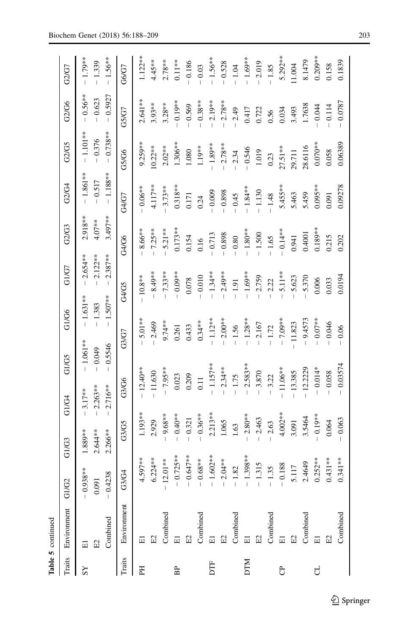| ٦ |
|---|
| ſ |
|   |
|   |
|   |
|   |
|   |
|   |

|             | Table 5 continued                            |                                                              |                                    |                                               |                                     |                                             |                                                       |                                             |                                             |                                      |                                    |                                              |
|-------------|----------------------------------------------|--------------------------------------------------------------|------------------------------------|-----------------------------------------------|-------------------------------------|---------------------------------------------|-------------------------------------------------------|---------------------------------------------|---------------------------------------------|--------------------------------------|------------------------------------|----------------------------------------------|
| Traits      | Environment                                  | G1/G2                                                        | G1/G3                              | G1/G4                                         | GI/G5                               | G1/G6                                       | G1/G7                                                 | G2/G3                                       | G2/G4                                       | G2/G5                                | G2/G6                              | G2/G7                                        |
|             | Combined<br>$\Xi$<br>$\overline{\Xi}$        | $8**$<br>$-0.4238$<br>$-0.93$<br>0.091                       | $2.266***$<br>$2.644**$<br>1.889** | $2.716**$<br>$2.263**$<br>$3.17***$           | $-1.061**$<br>$-0.5546$<br>$-0.049$ | $-1.507***$<br>$-1.631***$<br>$-1.383$      | $2.387**$<br>$2.122**$<br>$2.654**$<br>$\overline{1}$ | $3.497***$<br>$2.918***$<br>$4.07**$        | $-1.188***$<br>$-1.861***$<br>$-0.517$      | $-0.738**$<br>$-1.101**$<br>$-0.376$ | $-0.5927$<br>$-0.56**$<br>$-0.623$ | $-1.56***$<br>$-1.79**$<br>$-1.339$          |
| Traits      | Environment                                  | 34<br>Ğ)                                                     | G3/G5                              | G3/G6                                         | G3/G7                               |                                             | G4/G5                                                 | G4/G6                                       | G4/G7                                       | G5/G6                                | G5/G7                              | G6/G7                                        |
| E           | E2<br>$\Xi$                                  | $6.224**$<br>1.597**                                         | 1.193**<br>2.929                   | $-12.40**$<br>$-11.630$                       |                                     | $5.01**$<br>2.469                           | $-8.49**$<br>$-10.8**$                                | $-7.25***$<br>8.66**                        | 4.117**<br>$-0.06**$                        | 9.259**<br>$10.22***$                | $2.641**$<br>$3.93***$             | $1.122**$<br>$4.45***$                       |
| BP          | Combined<br>E<br>$\Xi$                       | $-0.725***$<br>$-0.647***$<br>$12.01***$                     | $9.68**$<br>$-0.40**$<br>0.321     | $-7.95**$<br>0.209<br>0.023                   |                                     | $9.74**$<br>0.433<br>0.261                  | $-7.33***$<br>$-0.09**$<br>0.078                      | $0.173**$<br>$-5.21**$<br>0.154             | $0.318***$<br>$-3.73**$<br>0.171            | 1.306**<br>$2.02**$<br>1.080         | $-0.19**$<br>$3.28**$<br>$-0.569$  | $2.78***$<br>$0.11**$<br>$-0.186$            |
| DTF         | Combined<br>E2<br>$\Xi$                      | $1.602**$<br>$-0.68***$<br>$2.04**$                          | $2.213**$<br>$0.36***$<br>1.065    | $-1.157***$<br>$-2.34**$<br>0.11              |                                     | $-2.00**$<br>$-1.12**$<br>$0.34**$          | $-1.34**$<br>$-2.49***$<br>$-0.010$                   | $-0.898$<br>$-0.713$<br>0.16                | $-0.898$<br>0.009<br>0.24                   | $-1.89***$<br>$-2.78**$<br>$1.19***$ | $-0.38**$<br>$2.19**$<br>$-2.78**$ | $-1.56***$<br>$-0.528$<br>$-0.03$            |
| <b>NILO</b> | Combined<br>Combined<br>$_{\rm E2}$<br>$\Xi$ | $1.398***$<br>1.315<br>1.35<br>$1.82\,$<br>$\vert$<br>$\mid$ | $2.80**$<br>2.463<br>2.63<br>1.63  | $-2.583***$<br>$-3.870$<br>$-1.75$<br>$-3.22$ |                                     | $-1.28**$<br>$-2.167$<br>$-1.56$<br>$-1.72$ | $-1.69***$<br>2.759<br>2.22<br>$-1.91$                | $-1.80**$<br>$-1.500$<br>$-0.80$<br>$-1.65$ | $-1.84**$<br>$-1.130$<br>$-1.48$<br>$-0.45$ | $-0.546$<br>1.019<br>$-2.34$<br>0.23 | 0.417<br>0.722<br>$-2.49$<br>0.56  | $-1.69***$<br>$-2.019$<br>$-1.85$<br>$-1.04$ |
| පි          | Combined<br>E2<br>$\Xi$                      | 2.4649<br>$-0.188$<br>5.117                                  | $4.002**$<br>3.5464<br>3.091       | $-11.06**$<br>$-12.2229$<br>$-13.385$         |                                     | $-7.09**$<br>$-9.4573$<br>$-11.823$         | 5.11**<br>5.623<br>5.370                              | $-0.14**$<br>0.4001<br>0.941                | 5.455**<br>5.463<br>5.459                   | 28.6116<br>$27.51***$<br>29.711      | 1.7638<br>3.493<br>0.034           | 5.292**<br>8.1479<br>11.004                  |
| ರ           | Combined<br>E2<br>$\Xi$                      | $0.252**$<br>$0.431**$<br>$0.341**$                          | $0.19**$<br>$-0.063$<br>0.064      | $-0.03574$<br>$-0.014*$<br>$-0.058$           |                                     | $-0.07**$<br>$-0.046$<br>$-0.06$            | 0.0194<br>0.006<br>0.033                              | $0.189**$<br>0.215<br>0.202                 | 0.09278<br>$0.095**$<br>0.091               | $0.070**$<br>0.06389<br>0.058        | $-0.0787$<br>0.114<br>0.044        | $0.209**$<br>0.1839<br>0.158                 |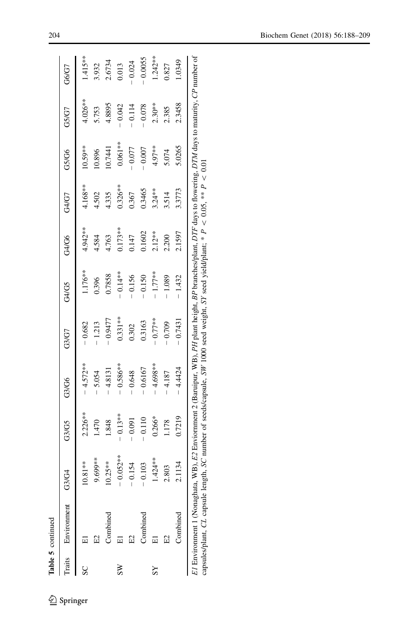|                        | Table 5 continued                                                                                              |                                         |            |             |            |            |           |           |           |          |           |
|------------------------|----------------------------------------------------------------------------------------------------------------|-----------------------------------------|------------|-------------|------------|------------|-----------|-----------|-----------|----------|-----------|
|                        | Traits Environment G3/G4                                                                                       |                                         | G3/G5      | G3/G6       | G3/G7      | G4/G5      | G4/G6     | G4/G7     | G5/G6     | G5/G7    | G6/G7     |
|                        |                                                                                                                | 10.81**                                 | 2.226**    | $-4.572***$ | $-0.682$   | 1.176**    | 4.942**   | 4.168**   | $10.59**$ | 4.026**  | $1.415**$ |
|                        |                                                                                                                | 9.699**                                 | 1.470      | 5.054       | $-1.213$   | 0.396      | 4.584     | 4.502     | 10.896    | 5.753    | 3.932     |
|                        | Combined                                                                                                       | $0.25**$                                | 1.848      | 4.8131      | $-0.9477$  | 0.7858     | 4.763     | 4.335     | 0.7441    | 4.8895   | 2.6734    |
| $\overline{\text{ss}}$ |                                                                                                                | $0.052**$                               | $-0.13***$ | $-0.586***$ | $0.331***$ | $-0.14***$ | $0.173**$ | $0.326**$ | $0.061**$ | $-0.042$ | 0.013     |
|                        | E2                                                                                                             | 0.154                                   | $-0.091$   | $-0.648$    | 0.302      | $-0.156$   | 0.147     | 0.367     | $-0.077$  | $-0.114$ | $-0.024$  |
|                        | Combined                                                                                                       | 0.103<br>$\begin{array}{c} \end{array}$ | $-0.110$   | $-0.6167$   | 0.3163     | $-0.150$   | 0.1602    | 0.3465    | 0.007     | $-0.078$ | $-0.0055$ |
| $\overline{S}$         |                                                                                                                | $1.424**$                               | $0.266*$   | 4.698**     | $-0.77**$  | $-1.77***$ | $2.12***$ | $3.24***$ | 4.97**    | $2.30**$ | $1.242**$ |
|                        |                                                                                                                | 2.803                                   | 1.178      | 4.187       | $-0.709$   | $-1.089$   | 2.200     | 3.514     | 5.074     | 2.385    | 0.827     |
|                        | Combined                                                                                                       | 2.1134                                  | 0.7219     | 4.4424      | $-0.7431$  | $-1.432$   | 2.1597    | 3.3773    | 5.0265    | 2.3458   | 1.0349    |
|                        | ri Radio (Alexandra III) ro Radio (Alexandra II) no II and III ann an an an an an Araba an an an an an an an a |                                         |            |             |            |            |           |           |           |          |           |

E1 Environment 1 (Nonaghata, WB), E2 Enviornment 2 (Baruipur, WB), PH plant height, BP branches/plant, DTF days to flowering, DTM days to maturity, CP number of capsules/plant, CL capsule length, SC number of seeds/capsule, SW 1000 seed weight, SY seed yield/plant; \*  $\mathbf{r}$ \ $< 0.05$ , \*\* P,  $\overline{\circ}$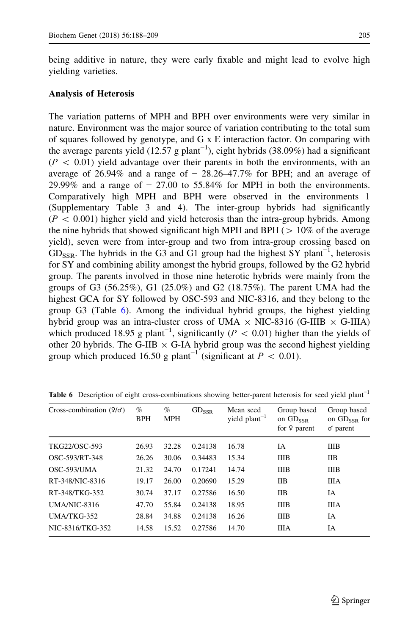## Analysis of Heterosis

The variation patterns of MPH and BPH over environments were very similar in nature. Environment was the major source of variation contributing to the total sum of squares followed by genotype, and  $G \times E$  interaction factor. On comparing with the average parents yield (12.57 g plant<sup>-1</sup>), eight hybrids (38.09%) had a significant  $(P \, < \, 0.01)$  yield advantage over their parents in both the environments, with an average of 26.94% and a range of  $-28.26-47.7%$  for BPH; and an average of 29.99% and a range of  $-27.00$  to 55.84% for MPH in both the environments. Comparatively high MPH and BPH were observed in the environments 1 (Supplementary Table 3 and 4). The inter-group hybrids had significantly  $(P \, 0.001)$  higher yield and yield heterosis than the intra-group hybrids. Among the nine hybrids that showed significant high MPH and BPH ( $> 10\%$  of the average yield), seven were from inter-group and two from intra-group crossing based on  $GDS_{SSR}$ . The hybrids in the G3 and G1 group had the highest SY plant<sup>-1</sup>, heterosis for SY and combining ability amongst the hybrid groups, followed by the G2 hybrid group. The parents involved in those nine heterotic hybrids were mainly from the groups of G3 (56.25%), G1 (25.0%) and G2 (18.75%). The parent UMA had the highest GCA for SY followed by OSC-593 and NIC-8316, and they belong to the group G3 (Table 6). Among the individual hybrid groups, the highest yielding hybrid group was an intra-cluster cross of UMA  $\times$  NIC-8316 (G-IIIB  $\times$  G-IIIA) which produced 18.95 g plant<sup>-1</sup>, significantly ( $P < 0.01$ ) higher than the yields of other 20 hybrids. The G-IIB  $\times$  G-IA hybrid group was the second highest yielding group which produced 16.50 g plant<sup>-1</sup> (significant at  $P \, < \, 0.01$ ).

| Cross-combination $(9/d)$ | $\%$<br><b>BPH</b> | $\%$<br><b>MPH</b> | $GD_{SSR}$ | Mean seed<br>yield $plan-1$ | Group based<br>on $GD_{SSR}$<br>for $9$ parent | Group based<br>on $GD_{SSR}$ for<br>$\sigma$ parent |
|---------------------------|--------------------|--------------------|------------|-----------------------------|------------------------------------------------|-----------------------------------------------------|
| TKG22/OSC-593             | 26.93              | 32.28              | 0.24138    | 16.78                       | IΑ                                             | <b>IIIB</b>                                         |
| OSC-593/RT-348            | 26.26              | 30.06              | 0.34483    | 15.34                       | <b>IIIB</b>                                    | <b>IIB</b>                                          |
| OSC-593/UMA               | 21.32              | 24.70              | 0.17241    | 14.74                       | <b>IIIB</b>                                    | <b>IIIB</b>                                         |
| RT-348/NIC-8316           | 19.17              | 26.00              | 0.20690    | 15.29                       | <b>IIB</b>                                     | <b>IIIA</b>                                         |
| RT-348/TKG-352            | 30.74              | 37.17              | 0.27586    | 16.50                       | <b>IIB</b>                                     | IA                                                  |
| UMA/NIC-8316              | 47.70              | 55.84              | 0.24138    | 18.95                       | <b>IIIB</b>                                    | <b>IIIA</b>                                         |
| $UMA/TKG-352$             | 28.84              | 34.88              | 0.24138    | 16.26                       | <b>IIIB</b>                                    | IA                                                  |
| NIC-8316/TKG-352          | 14.58              | 15.52              | 0.27586    | 14.70                       | ШA                                             | IA                                                  |

**Table 6** Description of eight cross-combinations showing better-parent heterosis for seed yield plant<sup>-1</sup>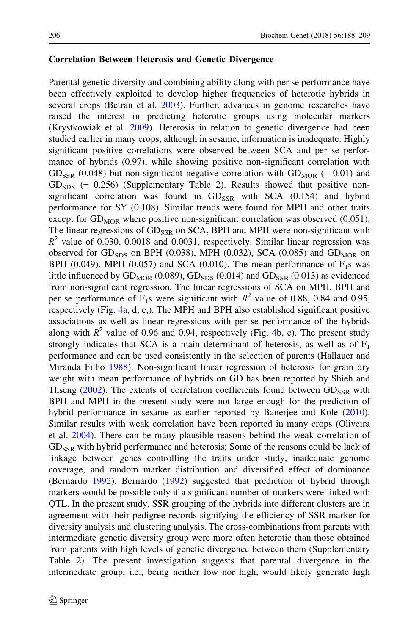#### Correlation Between Heterosis and Genetic Divergence

Parental genetic diversity and combining ability along with per se performance have been effectively exploited to develop higher frequencies of heterotic hybrids in several crops (Betran et al. [2003\)](#page-20-0). Further, advances in genome researches have raised the interest in predicting heterotic groups using molecular markers (Krystkowiak et al. [2009](#page-21-0)). Heterosis in relation to genetic divergence had been studied earlier in many crops, although in sesame, information is inadequate. Highly significant positive correlations were observed between SCA and per se performance of hybrids (0.97), while showing positive non-significant correlation with  $G_{\rm SSR}$  (0.048) but non-significant negative correlation with  $G_{\rm MOR}$  (− 0.01) and  $G\text{D}_{SDS}$  (− 0.256) (Supplementary Table 2). Results showed that positive nonsignificant correlation was found in  $GD_{SR}$  with SCA (0.154) and hybrid performance for SY (0.108). Similar trends were found for MPH and other traits except for  $GD<sub>MOR</sub>$  where positive non-significant correlation was observed (0.051). The linear regressions of  $GD_{SSR}$  on SCA, BPH and MPH were non-significant with  $R^2$  value of 0.030, 0.0018 and 0.0031, respectively. Similar linear regression was observed for  $GD<sub>SDS</sub>$  on BPH (0.038), MPH (0.032), SCA (0.085) and  $GD<sub>MOR</sub>$  on BPH (0.049), MPH (0.057) and SCA (0.010). The mean performance of  $F_1s$  was little influenced by  $GD<sub>MOR</sub>$  (0.089),  $GD<sub>SDS</sub>$  (0.014) and  $GD<sub>SSR</sub>$  (0.013) as evidenced from non-significant regression. The linear regressions of SCA on MPH, BPH and per se performance of  $F_1$ s were significant with  $R^2$  value of 0.88, 0.84 and 0.95, respectively (Fig. [4](#page-19-0)a, d, e,). The MPH and BPH also established significant positive associations as well as linear regressions with per se performance of the hybrids along with  $R^2$  value of 0.96 and 0.9[4](#page-19-0), respectively (Fig. 4b, c). The present study strongly indicates that SCA is a main determinant of heterosis, as well as of  $F_1$ performance and can be used consistently in the selection of parents (Hallauer and Miranda Filho [1988](#page-21-0)). Non-significant linear regression of heterosis for grain dry weight with mean performance of hybrids on GD has been reported by Shieh and Thseng  $(2002)$  $(2002)$ . The extents of correlation coefficients found between  $GD_{SSR}$  with BPH and MPH in the present study were not large enough for the prediction of hybrid performance in sesame as earlier reported by Banerjee and Kole ([2010\)](#page-20-0). Similar results with weak correlation have been reported in many crops (Oliveira et al. [2004](#page-21-0)). There can be many plausible reasons behind the weak correlation of  $GD_{SSR}$  with hybrid performance and heterosis; Some of the reasons could be lack of linkage between genes controlling the traits under study, inadequate genome coverage, and random marker distribution and diversified effect of dominance (Bernardo [1992\)](#page-20-0). Bernardo [\(1992](#page-20-0)) suggested that prediction of hybrid through markers would be possible only if a significant number of markers were linked with QTL. In the present study, SSR grouping of the hybrids into different clusters are in agreement with their pedigree records signifying the efficiency of SSR marker for diversity analysis and clustering analysis. The cross-combinations from parents with intermediate genetic diversity group were more often heterotic than those obtained from parents with high levels of genetic divergence between them (Supplementary Table 2). The present investigation suggests that parental divergence in the intermediate group, i.e., being neither low nor high, would likely generate high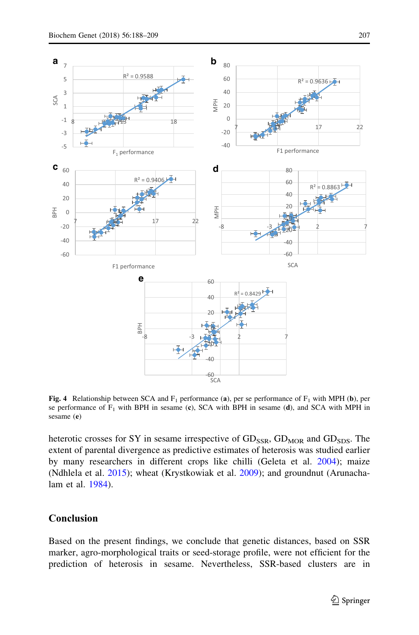<span id="page-19-0"></span>

Fig. 4 Relationship between SCA and  $F_1$  performance (a), per se performance of  $F_1$  with MPH (b), per se performance of  $F_1$  with BPH in sesame (c), SCA with BPH in sesame (d), and SCA with MPH in sesame (e)

heterotic crosses for SY in sesame irrespective of  $GD_{SSR}$ ,  $GD_{MOR}$  and  $GD_{SDS}$ . The extent of parental divergence as predictive estimates of heterosis was studied earlier by many researchers in different crops like chilli (Geleta et al. [2004\)](#page-20-0); maize (Ndhlela et al. [2015\)](#page-21-0); wheat (Krystkowiak et al. [2009](#page-21-0)); and groundnut (Arunachalam et al. [1984](#page-20-0)).

## Conclusion

Based on the present findings, we conclude that genetic distances, based on SSR marker, agro-morphological traits or seed-storage profile, were not efficient for the prediction of heterosis in sesame. Nevertheless, SSR-based clusters are in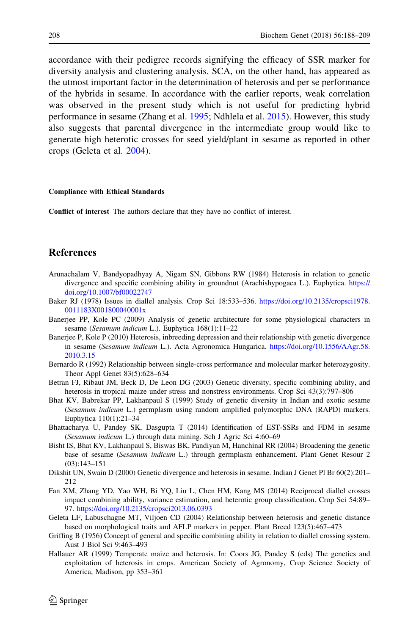<span id="page-20-0"></span>accordance with their pedigree records signifying the efficacy of SSR marker for diversity analysis and clustering analysis. SCA, on the other hand, has appeared as the utmost important factor in the determination of heterosis and per se performance of the hybrids in sesame. In accordance with the earlier reports, weak correlation was observed in the present study which is not useful for predicting hybrid performance in sesame (Zhang et al. [1995;](#page-21-0) Ndhlela et al. [2015](#page-21-0)). However, this study also suggests that parental divergence in the intermediate group would like to generate high heterotic crosses for seed yield/plant in sesame as reported in other crops (Geleta et al. 2004).

#### Compliance with Ethical Standards

Conflict of interest The authors declare that they have no conflict of interest.

# **References**

- Arunachalam V, Bandyopadhyay A, Nigam SN, Gibbons RW (1984) Heterosis in relation to genetic divergence and specific combining ability in groundnut (Arachishypogaea L.). Euphytica. [https://](https://doi.org/10.1007/bf00022747) [doi.org/10.1007/bf00022747](https://doi.org/10.1007/bf00022747)
- Baker RJ (1978) Issues in diallel analysis. Crop Sci 18:533–536. [https://doi.org/10.2135/cropsci1978.](https://doi.org/10.2135/cropsci1978.0011183X001800040001x) [0011183X001800040001x](https://doi.org/10.2135/cropsci1978.0011183X001800040001x)
- Banerjee PP, Kole PC (2009) Analysis of genetic architecture for some physiological characters in sesame (Sesamum indicum L.). Euphytica 168(1):11–22
- Banerjee P, Kole P (2010) Heterosis, inbreeding depression and their relationship with genetic divergence in sesame (Sesamum indicum L.). Acta Agronomica Hungarica. [https://doi.org/10.1556/AAgr.58.](https://doi.org/10.1556/AAgr.58.2010.3.15) [2010.3.15](https://doi.org/10.1556/AAgr.58.2010.3.15)
- Bernardo R (1992) Relationship between single-cross performance and molecular marker heterozygosity. Theor Appl Genet 83(5):628–634
- Betran FJ, Ribaut JM, Beck D, De Leon DG (2003) Genetic diversity, specific combining ability, and heterosis in tropical maize under stress and nonstress environments. Crop Sci 43(3):797–806
- Bhat KV, Babrekar PP, Lakhanpaul S (1999) Study of genetic diversity in Indian and exotic sesame (Sesamum indicum L.) germplasm using random amplified polymorphic DNA (RAPD) markers. Euphytica 110(1):21–34
- Bhattacharya U, Pandey SK, Dasgupta T (2014) Identification of EST-SSRs and FDM in sesame (Sesamum indicum L.) through data mining. Sch J Agric Sci 4:60–69
- Bisht IS, Bhat KV, Lakhanpaul S, Biswas BK, Pandiyan M, Hanchinal RR (2004) Broadening the genetic base of sesame (Sesamum indicum L.) through germplasm enhancement. Plant Genet Resour 2 (03):143–151
- Dikshit UN, Swain D (2000) Genetic divergence and heterosis in sesame. Indian J Genet Pl Br 60(2):201– 212
- Fan XM, Zhang YD, Yao WH, Bi YQ, Liu L, Chen HM, Kang MS (2014) Reciprocal diallel crosses impact combining ability, variance estimation, and heterotic group classification. Crop Sci 54:89– 97. <https://doi.org/10.2135/cropsci2013.06.0393>
- Geleta LF, Labuschagne MT, Viljoen CD (2004) Relationship between heterosis and genetic distance based on morphological traits and AFLP markers in pepper. Plant Breed 123(5):467–473
- Griffing B (1956) Concept of general and specific combining ability in relation to diallel crossing system. Aust J Biol Sci 9:463–493
- Hallauer AR (1999) Temperate maize and heterosis. In: Coors JG, Pandey S (eds) The genetics and exploitation of heterosis in crops. American Society of Agronomy, Crop Science Society of America, Madison, pp 353–361